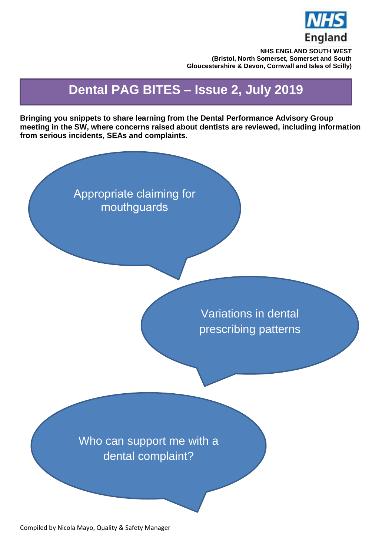

**NHS ENGLAND SOUTH WEST (Bristol, North Somerset, Somerset and South Gloucestershire & Devon, Cornwall and Isles of Scilly)**

# **Dental PAG BITES – Issue 2, July 2019**

**Bringing you snippets to share learning from the Dental Performance Advisory Group meeting in the SW, where concerns raised about dentists are reviewed, including information from serious incidents, SEAs and complaints.**

> Appropriate claiming for mouthguards

> > Variations in dental prescribing patterns

Who can support me with a dental complaint?

Compiled by Nicola Mayo, Quality & Safety Manager